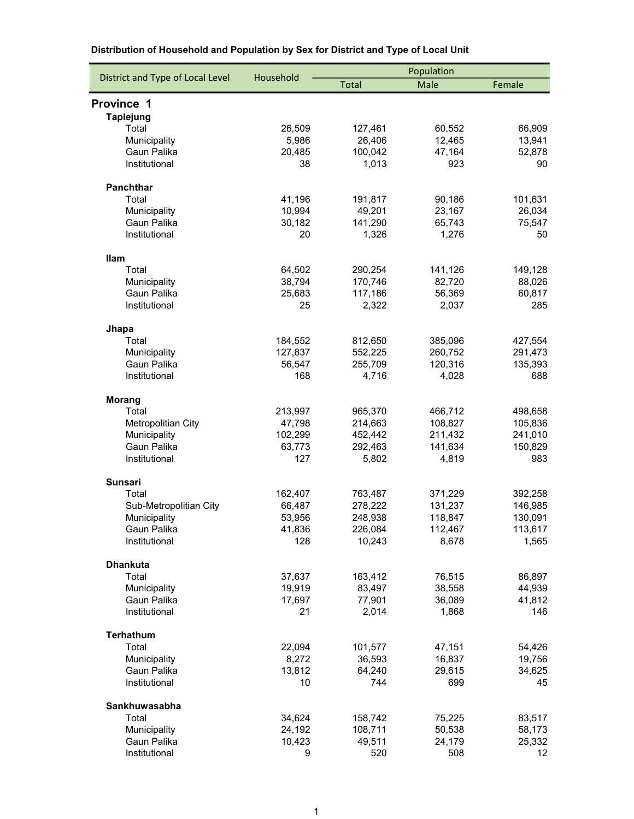|                                  |                  | Population         |                    |                   |  |
|----------------------------------|------------------|--------------------|--------------------|-------------------|--|
| District and Type of Local Level | Household        | <b>Total</b>       | Male               | Female            |  |
| Province 1                       |                  |                    |                    |                   |  |
| <b>Taplejung</b>                 |                  |                    |                    |                   |  |
| Total                            | 26,509           | 127,461            | 60,552             | 66,909            |  |
| Municipality                     | 5,986            | 26,406             | 12,465             | 13,941            |  |
| Gaun Palika                      | 20,485           | 100,042            | 47,164             | 52,878            |  |
| Institutional                    | 38               | 1,013              | 923                | 90                |  |
|                                  |                  |                    |                    |                   |  |
| Panchthar                        |                  |                    |                    |                   |  |
| Total                            | 41,196           | 191,817            | 90,186             | 101,631           |  |
| Municipality                     | 10,994           | 49,201             | 23,167             | 26,034            |  |
| Gaun Palika                      | 30,182           | 141,290            | 65,743             | 75,547            |  |
| Institutional                    | 20               | 1,326              | 1,276              | 50                |  |
|                                  |                  |                    |                    |                   |  |
| <b>Ilam</b><br>Total             |                  |                    |                    |                   |  |
| Municipality                     | 64,502<br>38,794 | 290,254<br>170,746 | 141,126<br>82,720  | 149,128<br>88,026 |  |
| Gaun Palika                      | 25,683           | 117,186            | 56,369             | 60,817            |  |
| Institutional                    | 25               | 2,322              | 2,037              | 285               |  |
|                                  |                  |                    |                    |                   |  |
| Jhapa                            |                  |                    |                    |                   |  |
| Total                            | 184,552          | 812,650            | 385,096            | 427,554           |  |
| Municipality                     | 127,837          | 552,225            | 260,752            | 291,473           |  |
| Gaun Palika                      | 56,547           | 255,709            | 120,316            | 135,393           |  |
| Institutional                    | 168              | 4,716              | 4,028              | 688               |  |
|                                  |                  |                    |                    |                   |  |
| <b>Morang</b>                    |                  |                    |                    |                   |  |
| Total                            | 213,997          | 965,370            | 466,712            | 498,658           |  |
| Metropolitian City               | 47,798           | 214,663            | 108,827            | 105,836           |  |
| Municipality<br>Gaun Palika      | 102,299          | 452,442            | 211,432<br>141,634 | 241,010           |  |
| Institutional                    | 63,773<br>127    | 292,463<br>5,802   | 4,819              | 150,829<br>983    |  |
|                                  |                  |                    |                    |                   |  |
| <b>Sunsari</b>                   |                  |                    |                    |                   |  |
| Total                            | 162,407          | 763,487            | 371,229            | 392,258           |  |
| Sub-Metropolitian City           | 66,487           | 278,222            | 131,237            | 146,985           |  |
| Municipality                     | 53,956           | 248,938            | 118,847            | 130,091           |  |
| Gaun Palika                      | 41,836           | 226,084            | 112,467            | 113,617           |  |
| Institutional                    | 128              | 10,243             | 8,678              | 1,565             |  |
|                                  |                  |                    |                    |                   |  |
| <b>Dhankuta</b><br>Total         |                  |                    |                    |                   |  |
|                                  | 37,637           | 163,412            | 76,515             | 86,897            |  |
| Municipality<br>Gaun Palika      | 19,919<br>17,697 | 83,497<br>77,901   | 38,558<br>36,089   | 44,939<br>41,812  |  |
| Institutional                    | 21               | 2,014              | 1,868              | 146               |  |
|                                  |                  |                    |                    |                   |  |
| Terhathum                        |                  |                    |                    |                   |  |
| Total                            | 22,094           | 101,577            | 47,151             | 54,426            |  |
| Municipality                     | 8,272            | 36,593             | 16,837             | 19,756            |  |
| Gaun Palika                      | 13,812           | 64,240             | 29,615             | 34,625            |  |
| Institutional                    | 10               | 744                | 699                | 45                |  |
| Sankhuwasabha                    |                  |                    |                    |                   |  |
| Total                            | 34,624           | 158,742            | 75,225             | 83,517            |  |
| Municipality                     | 24,192           | 108,711            | 50,538             | 58,173            |  |
| Gaun Palika                      | 10,423           | 49,511             | 24,179             | 25,332            |  |
| Institutional                    | 9                | 520                | 508                | 12                |  |
|                                  |                  |                    |                    |                   |  |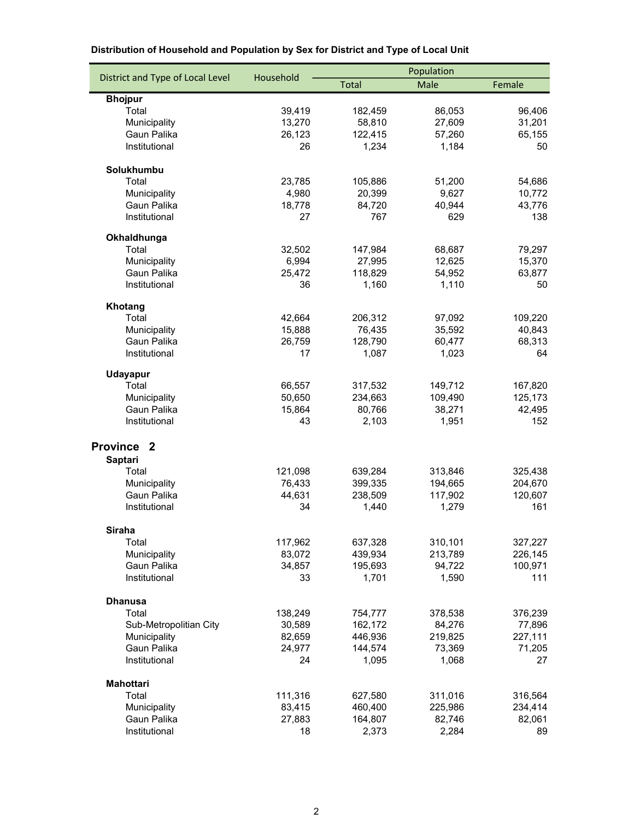|                                  |           | Population   |         |         |  |
|----------------------------------|-----------|--------------|---------|---------|--|
| District and Type of Local Level | Household | <b>Total</b> | Male    | Female  |  |
| <b>Bhojpur</b>                   |           |              |         |         |  |
| Total                            | 39,419    | 182,459      | 86,053  | 96,406  |  |
| Municipality                     | 13,270    | 58,810       | 27,609  | 31,201  |  |
| Gaun Palika                      | 26,123    | 122,415      | 57,260  | 65,155  |  |
| Institutional                    | 26        | 1,234        | 1,184   | 50      |  |
| Solukhumbu                       |           |              |         |         |  |
| Total                            | 23,785    | 105,886      | 51,200  | 54,686  |  |
| Municipality                     | 4,980     | 20,399       | 9,627   | 10,772  |  |
| Gaun Palika                      | 18,778    | 84,720       | 40,944  | 43,776  |  |
| Institutional                    | 27        | 767          | 629     | 138     |  |
| Okhaldhunga                      |           |              |         |         |  |
| Total                            | 32,502    | 147,984      | 68,687  | 79,297  |  |
| Municipality                     | 6,994     | 27,995       | 12,625  | 15,370  |  |
| Gaun Palika                      | 25,472    | 118,829      | 54,952  | 63,877  |  |
| Institutional                    | 36        | 1,160        | 1,110   | 50      |  |
| Khotang                          |           |              |         |         |  |
| Total                            | 42,664    | 206,312      | 97,092  | 109,220 |  |
| Municipality                     | 15,888    | 76,435       | 35,592  | 40,843  |  |
| Gaun Palika                      | 26,759    | 128,790      | 60,477  | 68,313  |  |
| Institutional                    | 17        | 1,087        | 1,023   | 64      |  |
| <b>Udayapur</b>                  |           |              |         |         |  |
| Total                            | 66,557    | 317,532      | 149,712 | 167,820 |  |
| Municipality                     | 50,650    | 234,663      | 109,490 | 125,173 |  |
| Gaun Palika                      | 15,864    | 80,766       | 38,271  | 42,495  |  |
| Institutional                    | 43        | 2,103        | 1,951   | 152     |  |
| Province <sub>2</sub>            |           |              |         |         |  |
| <b>Saptari</b>                   |           |              |         |         |  |
| Total                            | 121,098   | 639,284      | 313,846 | 325,438 |  |
| Municipality                     | 76,433    | 399,335      | 194,665 | 204,670 |  |
| Gaun Palika                      | 44,631    | 238,509      | 117,902 | 120,607 |  |
| Institutional                    | 34        | 1,440        | 1,279   | 161     |  |
| Siraha                           |           |              |         |         |  |
| Total                            | 117,962   | 637,328      | 310,101 | 327,227 |  |
| Municipality                     | 83,072    | 439,934      | 213,789 | 226,145 |  |
| Gaun Palika                      | 34,857    | 195,693      | 94,722  | 100,971 |  |
| Institutional                    | 33        | 1,701        | 1,590   | 111     |  |
| <b>Dhanusa</b>                   |           |              |         |         |  |
| Total                            | 138,249   | 754,777      | 378,538 | 376,239 |  |
| Sub-Metropolitian City           | 30,589    | 162,172      | 84,276  | 77,896  |  |
| Municipality                     | 82,659    | 446,936      | 219,825 | 227,111 |  |
| Gaun Palika                      | 24,977    | 144,574      | 73,369  | 71,205  |  |
| Institutional                    | 24        | 1,095        | 1,068   | 27      |  |
| <b>Mahottari</b>                 |           |              |         |         |  |
| Total                            | 111,316   | 627,580      | 311,016 | 316,564 |  |
| Municipality                     | 83,415    | 460,400      | 225,986 | 234,414 |  |
| Gaun Palika                      | 27,883    | 164,807      | 82,746  | 82,061  |  |
| Institutional                    | 18        | 2,373        | 2,284   | 89      |  |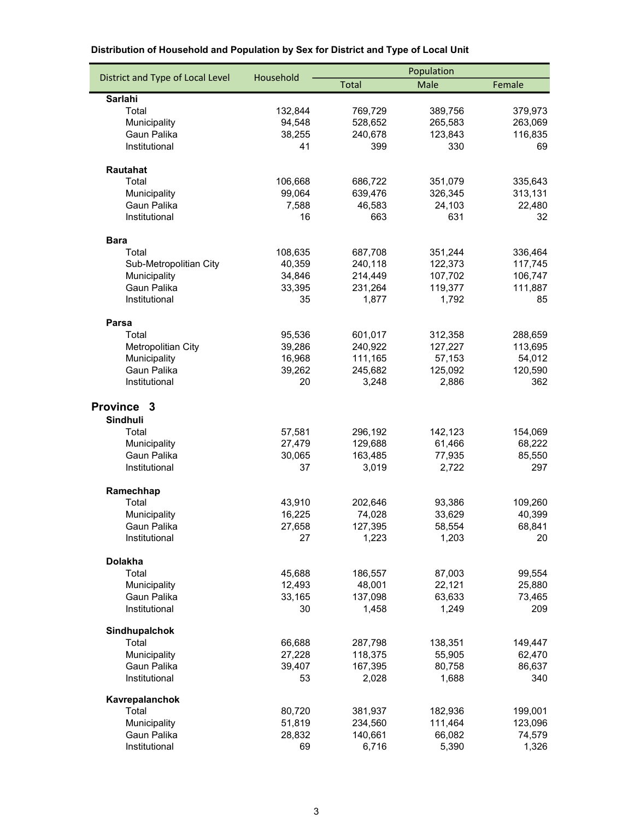|                                  |           | Population   |         |         |  |
|----------------------------------|-----------|--------------|---------|---------|--|
| District and Type of Local Level | Household | <b>Total</b> | Male    | Female  |  |
| <b>Sarlahi</b>                   |           |              |         |         |  |
| Total                            | 132,844   | 769,729      | 389,756 | 379,973 |  |
| Municipality                     | 94,548    | 528,652      | 265,583 | 263,069 |  |
| Gaun Palika                      | 38,255    | 240,678      | 123,843 | 116,835 |  |
| Institutional                    | 41        | 399          | 330     | 69      |  |
| Rautahat                         |           |              |         |         |  |
| Total                            | 106,668   | 686,722      | 351,079 | 335,643 |  |
| Municipality                     | 99,064    | 639,476      | 326,345 | 313,131 |  |
| Gaun Palika                      | 7,588     | 46,583       | 24,103  | 22,480  |  |
| Institutional                    | 16        | 663          | 631     | 32      |  |
| <b>Bara</b>                      |           |              |         |         |  |
| Total                            | 108,635   | 687,708      | 351,244 | 336,464 |  |
| Sub-Metropolitian City           | 40,359    | 240,118      | 122,373 | 117,745 |  |
| Municipality                     | 34,846    | 214,449      | 107,702 | 106,747 |  |
| Gaun Palika                      | 33,395    | 231,264      | 119,377 | 111,887 |  |
| Institutional                    | 35        | 1,877        | 1,792   | 85      |  |
| Parsa                            |           |              |         |         |  |
| Total                            | 95,536    | 601,017      | 312,358 | 288,659 |  |
| Metropolitian City               | 39,286    | 240,922      | 127,227 | 113,695 |  |
| Municipality                     | 16,968    | 111,165      | 57,153  | 54,012  |  |
| Gaun Palika                      | 39,262    | 245,682      | 125,092 | 120,590 |  |
| Institutional                    | 20        | 3,248        | 2,886   | 362     |  |
| Province <sub>3</sub>            |           |              |         |         |  |
| Sindhuli                         |           |              |         |         |  |
| Total                            | 57,581    | 296,192      | 142,123 | 154,069 |  |
| Municipality                     | 27,479    | 129,688      | 61,466  | 68,222  |  |
| Gaun Palika                      | 30,065    | 163,485      | 77,935  | 85,550  |  |
| Institutional                    | 37        | 3,019        | 2,722   | 297     |  |
| Ramechhap                        |           |              |         |         |  |
| Total                            | 43,910    | 202,646      | 93,386  | 109,260 |  |
| Municipality                     | 16,225    | 74,028       | 33,629  | 40,399  |  |
| Gaun Palika                      | 27,658    | 127,395      | 58,554  | 68,841  |  |
| Institutional                    | 27        | 1,223        | 1,203   | 20      |  |
| <b>Dolakha</b>                   |           |              |         |         |  |
| Total                            | 45,688    | 186,557      | 87,003  | 99,554  |  |
| Municipality                     | 12,493    | 48,001       | 22,121  | 25,880  |  |
| Gaun Palika                      | 33,165    | 137,098      | 63,633  | 73,465  |  |
| Institutional                    | 30        | 1,458        | 1,249   | 209     |  |
| Sindhupalchok                    |           |              |         |         |  |
| Total                            | 66,688    | 287,798      | 138,351 | 149,447 |  |
| Municipality                     | 27,228    | 118,375      | 55,905  | 62,470  |  |
| Gaun Palika                      | 39,407    | 167,395      | 80,758  | 86,637  |  |
| Institutional                    | 53        | 2,028        | 1,688   | 340     |  |
| Kavrepalanchok                   |           |              |         |         |  |
| Total                            | 80,720    | 381,937      | 182,936 | 199,001 |  |
| Municipality                     | 51,819    | 234,560      | 111,464 | 123,096 |  |
| Gaun Palika                      | 28,832    | 140,661      | 66,082  | 74,579  |  |
| Institutional                    | 69        | 6,716        | 5,390   | 1,326   |  |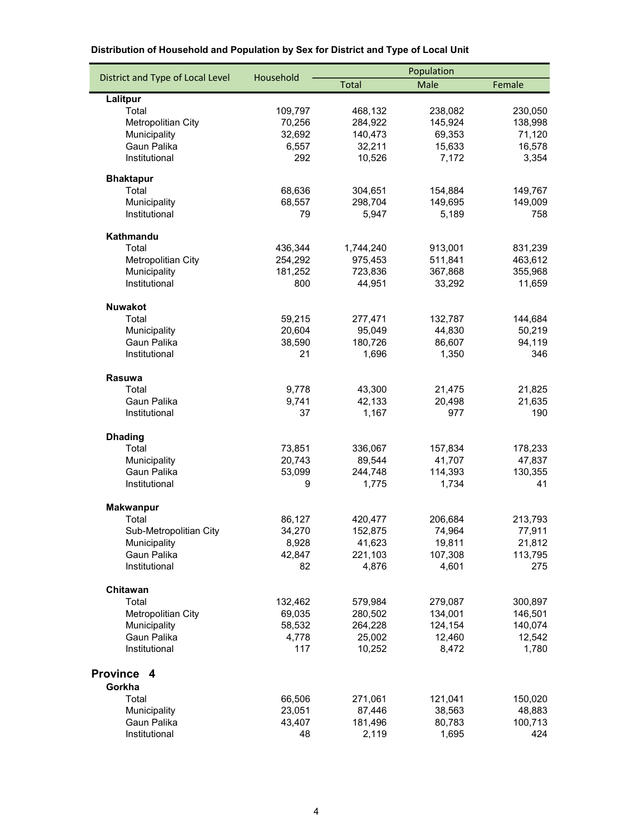|                                  |           | Population   |         |         |  |
|----------------------------------|-----------|--------------|---------|---------|--|
| District and Type of Local Level | Household | <b>Total</b> | Male    | Female  |  |
| Lalitpur                         |           |              |         |         |  |
| Total                            | 109,797   | 468,132      | 238,082 | 230,050 |  |
| Metropolitian City               | 70,256    | 284,922      | 145,924 | 138,998 |  |
| Municipality                     | 32,692    | 140,473      | 69,353  | 71,120  |  |
| Gaun Palika                      | 6,557     | 32,211       | 15,633  | 16,578  |  |
| Institutional                    | 292       | 10,526       | 7,172   | 3,354   |  |
| <b>Bhaktapur</b>                 |           |              |         |         |  |
| Total                            | 68,636    | 304,651      | 154,884 | 149,767 |  |
| Municipality                     | 68,557    | 298,704      | 149,695 | 149,009 |  |
| Institutional                    | 79        | 5,947        | 5,189   | 758     |  |
| Kathmandu                        |           |              |         |         |  |
| Total                            | 436,344   | 1,744,240    | 913,001 | 831,239 |  |
| Metropolitian City               | 254,292   | 975,453      | 511,841 | 463,612 |  |
| Municipality                     | 181,252   | 723,836      | 367,868 | 355,968 |  |
| Institutional                    | 800       | 44,951       | 33,292  | 11,659  |  |
| <b>Nuwakot</b>                   |           |              |         |         |  |
| Total                            | 59,215    | 277,471      | 132,787 | 144,684 |  |
| Municipality                     | 20,604    | 95,049       | 44,830  | 50,219  |  |
| Gaun Palika                      | 38,590    | 180,726      | 86,607  | 94,119  |  |
| Institutional                    | 21        | 1,696        | 1,350   | 346     |  |
| Rasuwa                           |           |              |         |         |  |
| Total                            | 9,778     | 43,300       | 21,475  | 21,825  |  |
| Gaun Palika                      | 9,741     | 42,133       | 20,498  | 21,635  |  |
| Institutional                    | 37        | 1,167        | 977     | 190     |  |
| <b>Dhading</b>                   |           |              |         |         |  |
| Total                            | 73,851    | 336,067      | 157,834 | 178,233 |  |
| Municipality                     | 20,743    | 89,544       | 41,707  | 47,837  |  |
| Gaun Palika                      | 53,099    | 244,748      | 114,393 | 130,355 |  |
| Institutional                    | 9         | 1,775        | 1,734   | 41      |  |
| <b>Makwanpur</b>                 |           |              |         |         |  |
| Total                            | 86,127    | 420,477      | 206,684 | 213,793 |  |
| Sub-Metropolitian City           | 34,270    | 152,875      | 74,964  | 77,911  |  |
| Municipality                     | 8,928     | 41,623       | 19,811  | 21,812  |  |
| Gaun Palika                      | 42,847    | 221,103      | 107,308 | 113,795 |  |
| Institutional                    | 82        | 4,876        | 4,601   | 275     |  |
| Chitawan                         |           |              |         |         |  |
| Total                            | 132,462   | 579,984      | 279,087 | 300,897 |  |
| Metropolitian City               | 69,035    | 280,502      | 134,001 | 146,501 |  |
| Municipality                     | 58,532    | 264,228      | 124,154 | 140,074 |  |
| Gaun Palika                      | 4,778     | 25,002       | 12,460  | 12,542  |  |
| Institutional                    | 117       | 10,252       | 8,472   | 1,780   |  |
| Province 4                       |           |              |         |         |  |
| Gorkha                           |           |              |         |         |  |
| Total                            | 66,506    | 271,061      | 121,041 | 150,020 |  |
| Municipality                     | 23,051    | 87,446       | 38,563  | 48,883  |  |
| Gaun Palika                      | 43,407    | 181,496      | 80,783  | 100,713 |  |
| Institutional                    | 48        | 2,119        | 1,695   | 424     |  |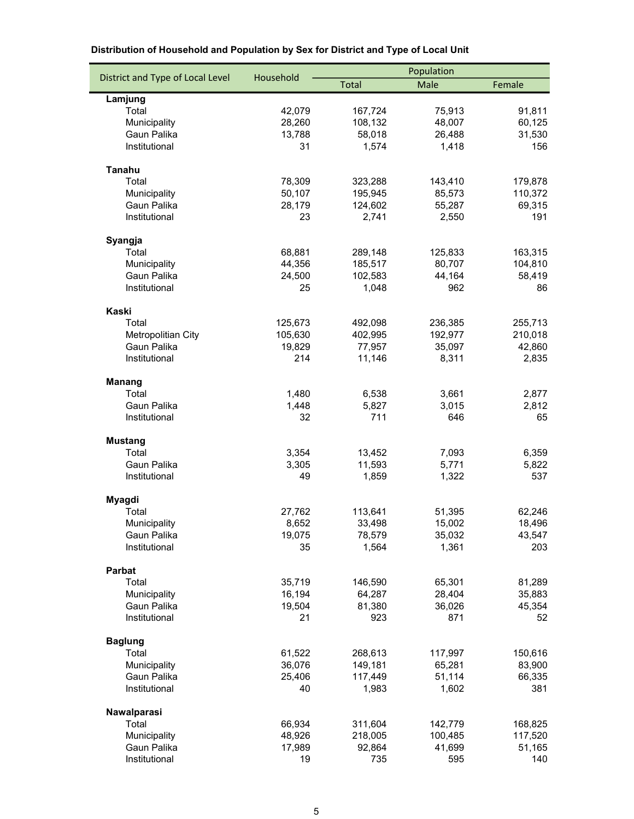| Population<br>District and Type of Local Level<br>Household<br>Total<br>Male<br>Female<br>Lamjung<br>42,079<br>75,913<br>Total<br>167,724<br>28,260<br>48,007<br>Municipality<br>108,132<br>Gaun Palika<br>13,788<br>58,018<br>26,488 | 91,811        |
|---------------------------------------------------------------------------------------------------------------------------------------------------------------------------------------------------------------------------------------|---------------|
|                                                                                                                                                                                                                                       |               |
|                                                                                                                                                                                                                                       |               |
|                                                                                                                                                                                                                                       |               |
|                                                                                                                                                                                                                                       | 60,125        |
|                                                                                                                                                                                                                                       | 31,530        |
| Institutional<br>31<br>1,574<br>1,418                                                                                                                                                                                                 | 156           |
| Tanahu                                                                                                                                                                                                                                |               |
| Total<br>78,309<br>323,288<br>143,410                                                                                                                                                                                                 | 179,878       |
| 50,107<br>85,573<br>Municipality<br>195,945                                                                                                                                                                                           | 110,372       |
| 28,179<br>55,287<br>Gaun Palika<br>124,602                                                                                                                                                                                            | 69,315        |
| Institutional<br>2,741<br>23<br>2,550                                                                                                                                                                                                 | 191           |
| Syangja                                                                                                                                                                                                                               |               |
| Total<br>68,881<br>289,148<br>125,833                                                                                                                                                                                                 | 163,315       |
| 44,356<br>80,707<br>Municipality<br>185,517                                                                                                                                                                                           | 104,810       |
| Gaun Palika<br>24,500<br>102,583<br>44,164                                                                                                                                                                                            | 58,419        |
| Institutional<br>25<br>1,048<br>962                                                                                                                                                                                                   | 86            |
| Kaski                                                                                                                                                                                                                                 |               |
| Total<br>125,673<br>492,098<br>236,385                                                                                                                                                                                                | 255,713       |
| 105,630<br>402,995<br>192,977<br>Metropolitian City                                                                                                                                                                                   | 210,018       |
| Gaun Palika<br>19,829<br>77,957<br>35,097                                                                                                                                                                                             | 42,860        |
| Institutional<br>214<br>8,311<br>11,146                                                                                                                                                                                               | 2,835         |
| <b>Manang</b>                                                                                                                                                                                                                         |               |
| 6,538<br>Total<br>1,480<br>3,661                                                                                                                                                                                                      | 2,877         |
| Gaun Palika<br>1,448<br>5,827<br>3,015                                                                                                                                                                                                | 2,812         |
| 32<br>711<br>646<br>Institutional                                                                                                                                                                                                     | 65            |
| <b>Mustang</b>                                                                                                                                                                                                                        |               |
| Total<br>3,354<br>13,452<br>7,093                                                                                                                                                                                                     | 6,359         |
| Gaun Palika<br>3,305<br>11,593<br>5,771                                                                                                                                                                                               | 5,822         |
| 1,322<br>Institutional<br>49<br>1,859                                                                                                                                                                                                 | 537           |
| Myagdi                                                                                                                                                                                                                                |               |
| Total<br>27,762<br>113,641<br>51,395                                                                                                                                                                                                  | 62,246        |
| 8,652<br>33,498<br>15,002<br>Municipality                                                                                                                                                                                             | 18,496        |
| Gaun Palika<br>19,075<br>78,579<br>35,032                                                                                                                                                                                             | 43,547        |
| Institutional<br>1,564<br>1,361<br>35                                                                                                                                                                                                 | 203           |
| Parbat                                                                                                                                                                                                                                |               |
| 35,719<br>146,590<br>65,301<br>Total                                                                                                                                                                                                  | 81,289        |
| 16,194<br>28,404<br>Municipality<br>64,287                                                                                                                                                                                            | 35,883        |
| Gaun Palika<br>19,504<br>81,380<br>36,026                                                                                                                                                                                             | 45,354        |
| Institutional<br>21<br>923<br>871                                                                                                                                                                                                     | 52            |
| <b>Baglung</b>                                                                                                                                                                                                                        |               |
| Total<br>61,522<br>268,613<br>117,997                                                                                                                                                                                                 | 150,616       |
| 36,076<br>149,181<br>65,281<br>Municipality                                                                                                                                                                                           | 83,900        |
| 25,406<br>117,449<br>51,114<br>Gaun Palika<br>Institutional<br>1,983<br>1,602<br>40                                                                                                                                                   | 66,335<br>381 |
|                                                                                                                                                                                                                                       |               |
| Nawalparasi<br>Total<br>66,934<br>311,604<br>142,779                                                                                                                                                                                  | 168,825       |
| 48,926<br>100,485<br>Municipality<br>218,005                                                                                                                                                                                          | 117,520       |
| 17,989<br>Gaun Palika<br>92,864<br>41,699                                                                                                                                                                                             | 51,165        |
| 735<br>595<br>Institutional<br>19                                                                                                                                                                                                     | 140           |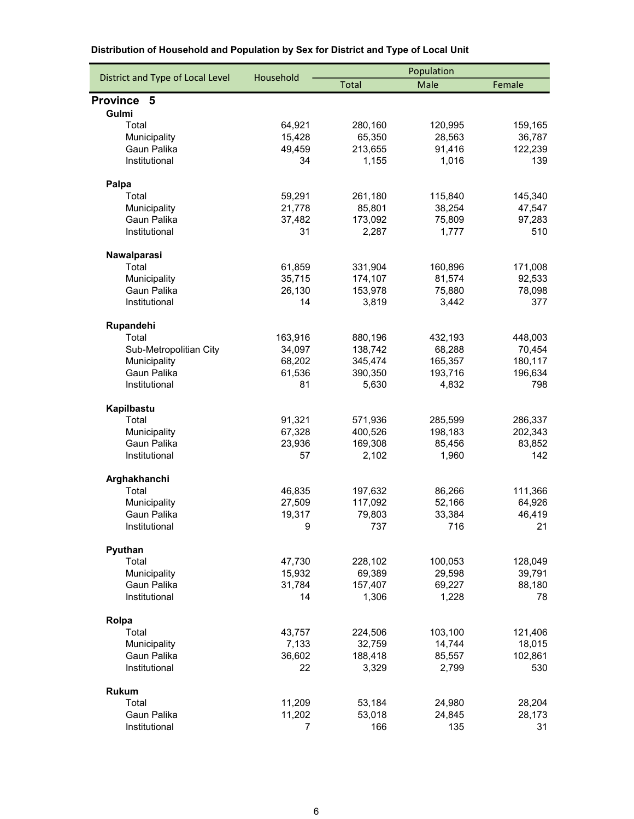|                                  | Household         | Population         |                    |                   |  |
|----------------------------------|-------------------|--------------------|--------------------|-------------------|--|
| District and Type of Local Level |                   | <b>Total</b>       | Male               | Female            |  |
| <b>Province</b><br>5             |                   |                    |                    |                   |  |
| Gulmi                            |                   |                    |                    |                   |  |
| Total                            | 64,921            | 280,160            | 120,995            | 159,165           |  |
| Municipality                     | 15,428            | 65,350             | 28,563             | 36,787            |  |
| Gaun Palika                      | 49,459            | 213,655            | 91,416             | 122,239           |  |
| Institutional                    | 34                | 1,155              | 1,016              | 139               |  |
| Palpa                            |                   |                    |                    |                   |  |
| Total                            | 59,291            | 261,180            | 115,840            | 145,340           |  |
| Municipality                     | 21,778            | 85,801             | 38,254             | 47,547            |  |
| Gaun Palika                      | 37,482            | 173,092            | 75,809             | 97,283            |  |
| Institutional                    | 31                | 2,287              | 1,777              | 510               |  |
| Nawalparasi                      |                   |                    |                    |                   |  |
| Total                            | 61,859            | 331,904            | 160,896            | 171,008           |  |
| Municipality                     | 35,715            | 174,107            | 81,574             | 92,533            |  |
| Gaun Palika                      | 26,130            | 153,978            | 75,880             | 78,098            |  |
| Institutional                    | 14                | 3,819              | 3,442              | 377               |  |
|                                  |                   |                    |                    |                   |  |
| Rupandehi                        |                   |                    |                    |                   |  |
| Total<br>Sub-Metropolitian City  | 163,916<br>34,097 | 880,196            | 432,193<br>68,288  | 448,003<br>70,454 |  |
| Municipality                     | 68,202            | 138,742<br>345,474 | 165,357            | 180,117           |  |
| Gaun Palika                      | 61,536            | 390,350            | 193,716            | 196,634           |  |
| Institutional                    | 81                | 5,630              | 4,832              | 798               |  |
|                                  |                   |                    |                    |                   |  |
| Kapilbastu                       |                   |                    |                    |                   |  |
| Total                            | 91,321<br>67,328  | 571,936            | 285,599<br>198,183 | 286,337           |  |
| Municipality<br>Gaun Palika      | 23,936            | 400,526<br>169,308 | 85,456             | 202,343<br>83,852 |  |
| Institutional                    | 57                | 2,102              | 1,960              | 142               |  |
|                                  |                   |                    |                    |                   |  |
| Arghakhanchi                     |                   |                    |                    |                   |  |
| Total                            | 46,835            | 197,632            | 86,266             | 111,366           |  |
| Municipality                     | 27,509            | 117,092            | 52,166             | 64,926            |  |
| Gaun Palika                      | 19,317            | 79,803             | 33,384             | 46,419            |  |
| Institutional                    | - 9               | 737                | 716                | 21                |  |
| Pyuthan                          |                   |                    |                    |                   |  |
| Total                            | 47,730            | 228,102            | 100,053            | 128,049           |  |
| Municipality                     | 15,932            | 69,389             | 29,598             | 39,791            |  |
| Gaun Palika                      | 31,784            | 157,407            | 69,227             | 88,180            |  |
| Institutional                    | 14                | 1,306              | 1,228              | 78                |  |
| Rolpa                            |                   |                    |                    |                   |  |
| Total                            | 43,757            | 224,506            | 103,100            | 121,406           |  |
| Municipality                     | 7,133             | 32,759             | 14,744             | 18,015            |  |
| Gaun Palika                      | 36,602            | 188,418            | 85,557             | 102,861           |  |
| Institutional                    | 22                | 3,329              | 2,799              | 530               |  |
| <b>Rukum</b>                     |                   |                    |                    |                   |  |
| Total                            | 11,209            | 53,184             | 24,980             | 28,204            |  |
| Gaun Palika                      | 11,202            | 53,018             | 24,845             | 28,173            |  |
| Institutional                    | 7                 | 166                | 135                | 31                |  |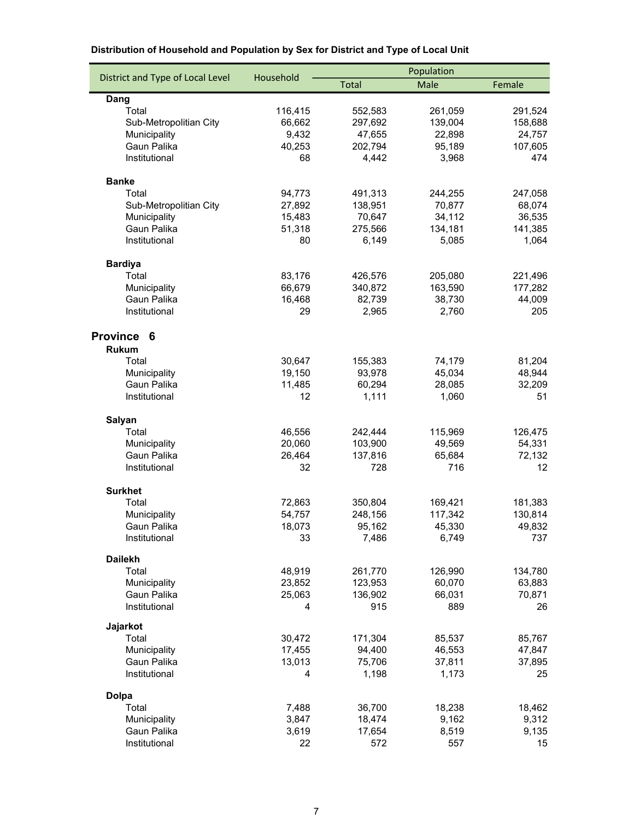|                                  |                | Population       |                 |                |  |
|----------------------------------|----------------|------------------|-----------------|----------------|--|
| District and Type of Local Level | Household      | <b>Total</b>     | Male            | Female         |  |
| Dang                             |                |                  |                 |                |  |
| Total                            | 116,415        | 552,583          | 261,059         | 291,524        |  |
| Sub-Metropolitian City           | 66,662         | 297,692          | 139,004         | 158,688        |  |
| Municipality                     | 9,432          | 47,655           | 22,898          | 24,757         |  |
| Gaun Palika                      | 40,253         | 202,794          | 95,189          | 107,605        |  |
| Institutional                    | 68             | 4,442            | 3,968           | 474            |  |
| <b>Banke</b>                     |                |                  |                 |                |  |
| Total                            | 94,773         | 491,313          | 244,255         | 247,058        |  |
| Sub-Metropolitian City           | 27,892         | 138,951          | 70,877          | 68,074         |  |
| Municipality                     | 15,483         | 70,647           | 34,112          | 36,535         |  |
| Gaun Palika                      | 51,318         | 275,566          | 134,181         | 141,385        |  |
| Institutional                    | 80             | 6,149            | 5,085           | 1,064          |  |
| <b>Bardiya</b>                   |                |                  |                 |                |  |
| Total                            | 83,176         | 426,576          | 205,080         | 221,496        |  |
| Municipality                     | 66,679         | 340,872          | 163,590         | 177,282        |  |
| Gaun Palika                      | 16,468         | 82,739           | 38,730          | 44,009         |  |
| Institutional                    | 29             | 2,965            | 2,760           | 205            |  |
| <b>Province</b><br>6             |                |                  |                 |                |  |
| <b>Rukum</b>                     |                |                  |                 |                |  |
| Total                            | 30,647         | 155,383          | 74,179          | 81,204         |  |
| Municipality                     | 19,150         | 93,978           | 45,034          | 48,944         |  |
| Gaun Palika                      | 11,485         | 60,294           | 28,085          | 32,209         |  |
| Institutional                    | 12             | 1,111            | 1,060           | 51             |  |
| Salyan                           |                |                  |                 |                |  |
| Total                            | 46,556         | 242,444          | 115,969         | 126,475        |  |
| Municipality                     | 20,060         | 103,900          | 49,569          | 54,331         |  |
| Gaun Palika                      | 26,464         | 137,816          | 65,684          | 72,132         |  |
| Institutional                    | 32             | 728              | 716             | 12             |  |
| <b>Surkhet</b>                   |                |                  |                 |                |  |
| Total                            | 72,863         | 350,804          | 169,421         | 181,383        |  |
| Municipality                     | 54,757         | 248,156          | 117,342         | 130,814        |  |
| Gaun Palika                      | 18,073         | 95,162           | 45,330          | 49,832         |  |
| Institutional                    | 33             | 7,486            | 6,749           | 737            |  |
| <b>Dailekh</b>                   |                |                  |                 |                |  |
| Total                            | 48,919         | 261,770          | 126,990         | 134,780        |  |
| Municipality                     | 23,852         | 123,953          | 60,070          | 63,883         |  |
| Gaun Palika                      | 25,063         | 136,902          | 66,031          | 70,871         |  |
| Institutional                    | 4              | 915              | 889             | 26             |  |
| Jajarkot                         |                |                  |                 |                |  |
| Total                            | 30,472         | 171,304          | 85,537          | 85,767         |  |
| Municipality                     | 17,455         | 94,400           | 46,553          | 47,847         |  |
| Gaun Palika<br>Institutional     | 13,013<br>4    | 75,706<br>1,198  | 37,811<br>1,173 | 37,895<br>25   |  |
|                                  |                |                  |                 |                |  |
| <b>Dolpa</b>                     |                |                  |                 |                |  |
| Total                            | 7,488          | 36,700           | 18,238          | 18,462         |  |
| Municipality<br>Gaun Palika      | 3,847<br>3,619 | 18,474<br>17,654 | 9,162<br>8,519  | 9,312<br>9,135 |  |
| Institutional                    | 22             | 572              | 557             | 15             |  |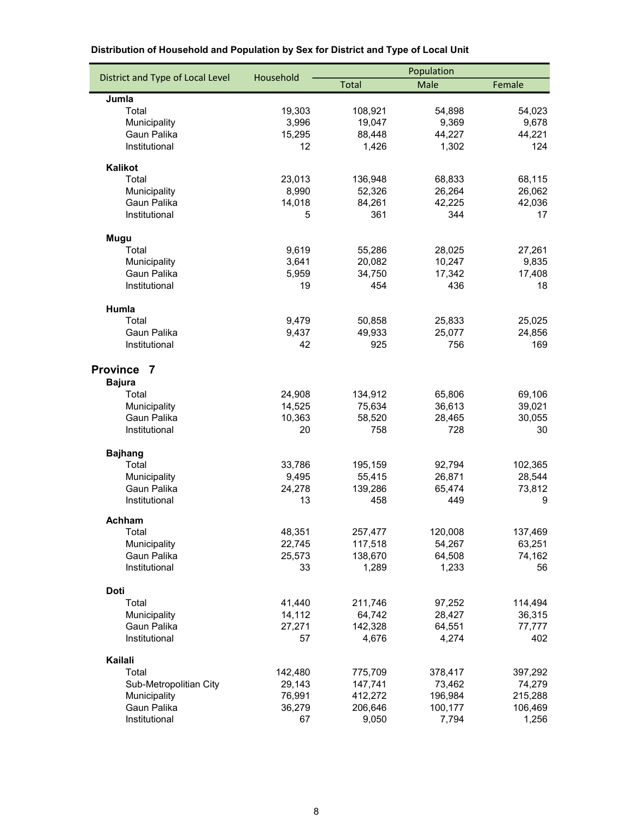|                                  |                  | Population         |                  |                  |  |
|----------------------------------|------------------|--------------------|------------------|------------------|--|
| District and Type of Local Level | Household        | <b>Total</b>       | Male             | Female           |  |
| Jumla                            |                  |                    |                  |                  |  |
| Total                            | 19,303           | 108,921            | 54,898           | 54,023           |  |
| Municipality                     | 3,996            | 19,047             | 9,369            | 9,678            |  |
| Gaun Palika                      | 15,295           | 88,448             | 44,227           | 44,221           |  |
| Institutional                    | 12               | 1,426              | 1,302            | 124              |  |
| <b>Kalikot</b>                   |                  |                    |                  |                  |  |
| Total                            | 23,013           | 136,948            | 68,833           | 68,115           |  |
| Municipality                     | 8,990            | 52,326             | 26,264           | 26,062           |  |
| Gaun Palika                      | 14,018           | 84,261             | 42,225           | 42,036           |  |
| Institutional                    | 5                | 361                | 344              | 17               |  |
| Mugu                             |                  |                    |                  |                  |  |
| Total                            | 9,619            | 55,286             | 28,025           | 27,261           |  |
| Municipality                     | 3,641            | 20,082             | 10,247           | 9,835            |  |
| Gaun Palika                      | 5,959            | 34,750             | 17,342           | 17,408           |  |
| Institutional                    | 19               | 454                | 436              | 18               |  |
| Humla                            |                  |                    |                  |                  |  |
| Total                            | 9,479            | 50,858             | 25,833           | 25,025           |  |
| Gaun Palika                      | 9,437            | 49,933             | 25,077           | 24,856           |  |
| Institutional                    | 42               | 925                | 756              | 169              |  |
|                                  |                  |                    |                  |                  |  |
| Province 7                       |                  |                    |                  |                  |  |
| <b>Bajura</b>                    |                  |                    |                  |                  |  |
| Total                            | 24,908<br>14,525 | 134,912            | 65,806<br>36,613 | 69,106           |  |
| Municipality<br>Gaun Palika      | 10,363           | 75,634<br>58,520   | 28,465           | 39,021<br>30,055 |  |
| Institutional                    | 20               | 758                | 728              | 30               |  |
|                                  |                  |                    |                  |                  |  |
| <b>Bajhang</b>                   |                  |                    |                  |                  |  |
| Total                            | 33,786           | 195,159            | 92,794           | 102,365          |  |
| Municipality<br>Gaun Palika      | 9,495            | 55,415             | 26,871           | 28,544           |  |
| Institutional                    | 24,278<br>13     | 139,286<br>458     | 65,474<br>449    | 73,812<br>9      |  |
|                                  |                  |                    |                  |                  |  |
| Achham                           |                  |                    |                  |                  |  |
| Total                            | 48,351           | 257,477            | 120,008          | 137,469          |  |
| Municipality                     | 22,745           | 117,518<br>138,670 | 54,267           | 63,251           |  |
| Gaun Palika<br>Institutional     | 25,573<br>33     | 1,289              | 64,508<br>1,233  | 74,162<br>56     |  |
|                                  |                  |                    |                  |                  |  |
| Doti                             |                  |                    |                  |                  |  |
| Total                            | 41,440           | 211,746            | 97,252           | 114,494          |  |
| Municipality                     | 14,112           | 64,742             | 28,427           | 36,315           |  |
| Gaun Palika                      | 27,271           | 142,328            | 64,551           | 77,777           |  |
| Institutional                    | 57               | 4,676              | 4,274            | 402              |  |
| Kailali                          |                  |                    |                  |                  |  |
| Total                            | 142,480          | 775,709            | 378,417          | 397,292          |  |
| Sub-Metropolitian City           | 29,143           | 147,741            | 73,462           | 74,279           |  |
| Municipality                     | 76,991           | 412,272            | 196,984          | 215,288          |  |
| Gaun Palika                      | 36,279           | 206,646            | 100,177          | 106,469          |  |
| Institutional                    | 67               | 9,050              | 7,794            | 1,256            |  |